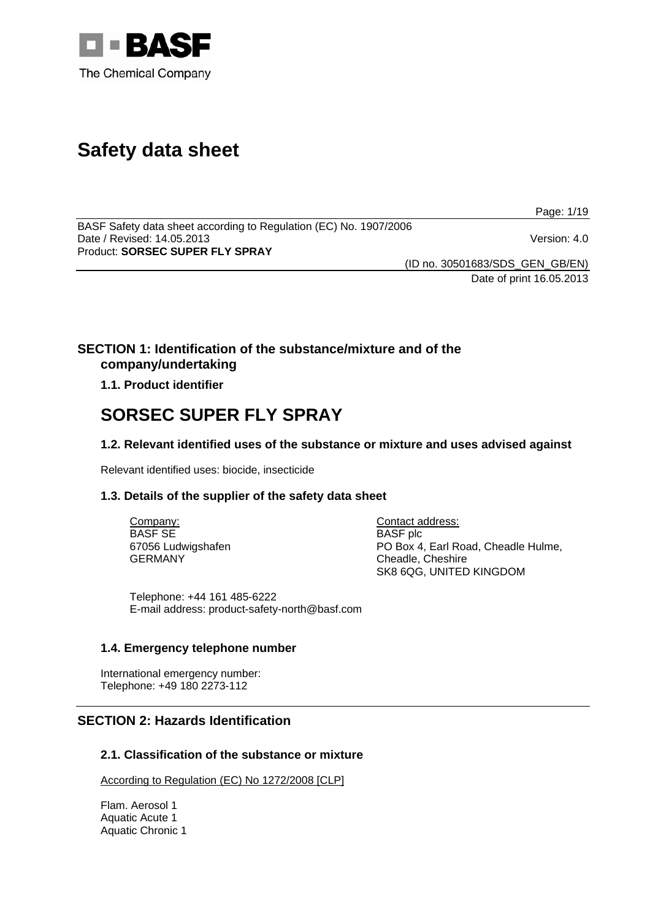

# **Safety data sheet**

Page: 1/19

BASF Safety data sheet according to Regulation (EC) No. 1907/2006 Date / Revised: 14.05.2013 Version: 4.0 Product: **SORSEC SUPER FLY SPRAY** 

(ID no. 30501683/SDS\_GEN\_GB/EN)

Date of print 16.05.2013

## **SECTION 1: Identification of the substance/mixture and of the company/undertaking**

## **1.1. Product identifier**

## **SORSEC SUPER FLY SPRAY**

## **1.2. Relevant identified uses of the substance or mixture and uses advised against**

Relevant identified uses: biocide, insecticide

## **1.3. Details of the supplier of the safety data sheet**

Company: BASF SE 67056 Ludwigshafen GERMANY

Contact address: BASF plc PO Box 4, Earl Road, Cheadle Hulme, Cheadle, Cheshire SK8 6QG, UNITED KINGDOM

Telephone: +44 161 485-6222 E-mail address: product-safety-north@basf.com

## **1.4. Emergency telephone number**

International emergency number: Telephone: +49 180 2273-112

## **SECTION 2: Hazards Identification**

## **2.1. Classification of the substance or mixture**

According to Regulation (EC) No 1272/2008 [CLP]

Flam. Aerosol 1 Aquatic Acute 1 Aquatic Chronic 1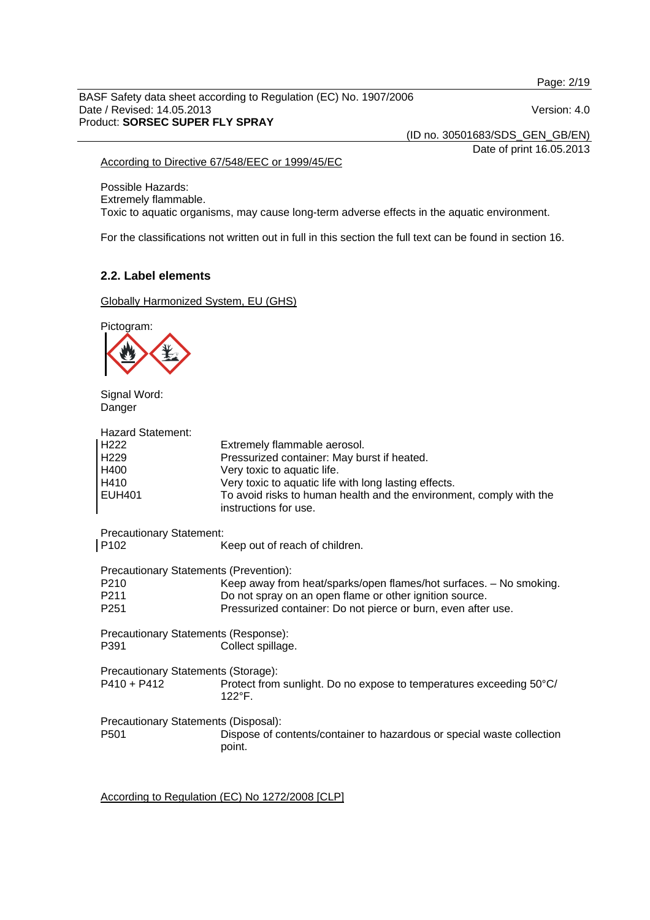Page: 2/19

BASF Safety data sheet according to Regulation (EC) No. 1907/2006 Date / Revised: 14.05.2013 Version: 4.0 Product: **SORSEC SUPER FLY SPRAY** 

(ID no. 30501683/SDS\_GEN\_GB/EN)

Date of print 16.05.2013

## According to Directive 67/548/EEC or 1999/45/EC

Possible Hazards: Extremely flammable. Toxic to aquatic organisms, may cause long-term adverse effects in the aquatic environment.

For the classifications not written out in full in this section the full text can be found in section 16.

## **2.2. Label elements**

Globally Harmonized System, EU (GHS)

Pictogram:



Signal Word: Danger

| Extremely flammable aerosol.<br>Pressurized container: May burst if heated.<br>Very toxic to aquatic life.<br>Very toxic to aquatic life with long lasting effects.<br>To avoid risks to human health and the environment, comply with the<br>instructions for use. |
|---------------------------------------------------------------------------------------------------------------------------------------------------------------------------------------------------------------------------------------------------------------------|
| <b>Precautionary Statement:</b><br>Keep out of reach of children.                                                                                                                                                                                                   |
| Precautionary Statements (Prevention):<br>Keep away from heat/sparks/open flames/hot surfaces. - No smoking.<br>Do not spray on an open flame or other ignition source.<br>Pressurized container: Do not pierce or burn, even after use.                            |
| Precautionary Statements (Response):<br>Collect spillage.                                                                                                                                                                                                           |
| Precautionary Statements (Storage):<br>Protect from sunlight. Do no expose to temperatures exceeding 50°C/<br>$122^{\circ}$ F.                                                                                                                                      |
| Precautionary Statements (Disposal):<br>Dispose of contents/container to hazardous or special waste collection<br>point.                                                                                                                                            |
|                                                                                                                                                                                                                                                                     |

According to Regulation (EC) No 1272/2008 [CLP]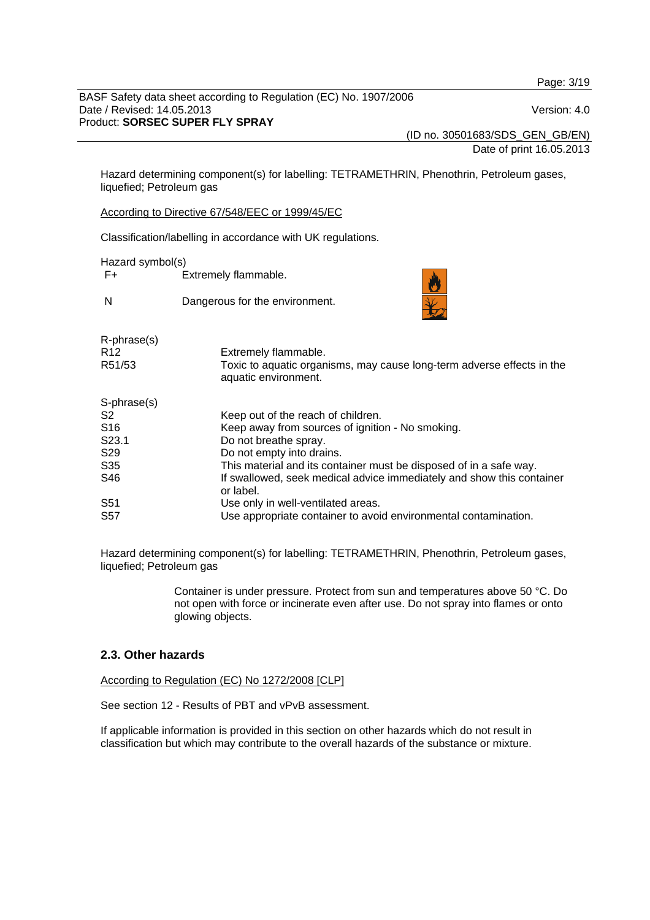Page: 3/19

BASF Safety data sheet according to Regulation (EC) No. 1907/2006 Date / Revised: 14.05.2013 Version: 4.0 Product: **SORSEC SUPER FLY SPRAY** 

(ID no. 30501683/SDS\_GEN\_GB/EN)

Date of print 16.05.2013

Hazard determining component(s) for labelling: TETRAMETHRIN, Phenothrin, Petroleum gases, liquefied; Petroleum gas

According to Directive 67/548/EEC or 1999/45/EC

Classification/labelling in accordance with UK regulations.

Hazard symbol(s)

F+ Extremely flammable.

N Dangerous for the environment.



| R-phrase(s)<br>R <sub>12</sub><br>R51/53 | Extremely flammable.<br>Toxic to aquatic organisms, may cause long-term adverse effects in the<br>aquatic environment. |
|------------------------------------------|------------------------------------------------------------------------------------------------------------------------|
| S-phrase(s)                              |                                                                                                                        |
| S2                                       | Keep out of the reach of children.                                                                                     |
| S <sub>16</sub>                          | Keep away from sources of ignition - No smoking.                                                                       |
| S <sub>23.1</sub>                        | Do not breathe spray.                                                                                                  |
| S <sub>29</sub>                          | Do not empty into drains.                                                                                              |
| S35                                      | This material and its container must be disposed of in a safe way.                                                     |
| S46                                      | If swallowed, seek medical advice immediately and show this container<br>or label.                                     |
| S <sub>51</sub>                          | Use only in well-ventilated areas.                                                                                     |
| S <sub>57</sub>                          | Use appropriate container to avoid environmental contamination.                                                        |

Hazard determining component(s) for labelling: TETRAMETHRIN, Phenothrin, Petroleum gases, liquefied; Petroleum gas

> Container is under pressure. Protect from sun and temperatures above 50 °C. Do not open with force or incinerate even after use. Do not spray into flames or onto glowing objects.

## **2.3. Other hazards**

According to Regulation (EC) No 1272/2008 [CLP]

See section 12 - Results of PBT and vPvB assessment.

If applicable information is provided in this section on other hazards which do not result in classification but which may contribute to the overall hazards of the substance or mixture.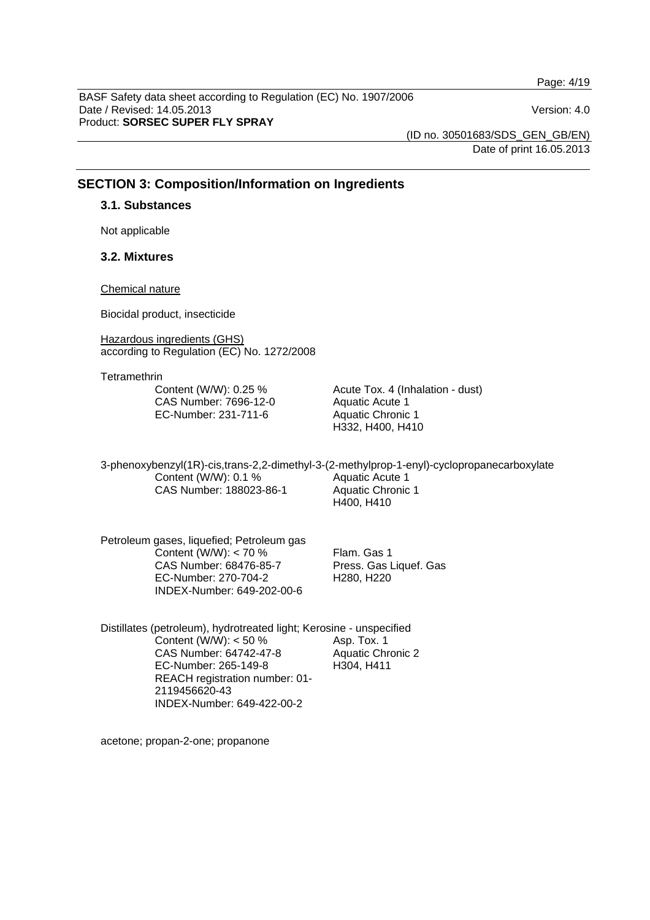Page: 4/19

BASF Safety data sheet according to Regulation (EC) No. 1907/2006 Date / Revised: 14.05.2013 Version: 4.0 Product: **SORSEC SUPER FLY SPRAY** 

(ID no. 30501683/SDS\_GEN\_GB/EN) Date of print 16.05.2013

## **SECTION 3: Composition/Information on Ingredients**

## **3.1. Substances**

Not applicable

## **3.2. Mixtures**

#### Chemical nature

Biocidal product, insecticide

Hazardous ingredients (GHS) according to Regulation (EC) No. 1272/2008

**Tetramethrin** 

Content (W/W): 0.25 % CAS Number: 7696-12-0 EC-Number: 231-711-6

Acute Tox. 4 (Inhalation - dust) Aquatic Acute 1 Aquatic Chronic 1 H332, H400, H410

3-phenoxybenzyl(1R)-cis,trans-2,2-dimethyl-3-(2-methylprop-1-enyl)-cyclopropanecarboxylate Content (W/W): 0.1 % CAS Number: 188023-86-1 Aquatic Acute 1 Aquatic Chronic 1 H400, H410

Petroleum gases, liquefied; Petroleum gas Content (W/W): < 70 % CAS Number: 68476-85-7 EC-Number: 270-704-2 INDEX-Number: 649-202-00-6

Flam. Gas 1 Press. Gas Liquef. Gas H280, H220

Distillates (petroleum), hydrotreated light; Kerosine - unspecified Content (W/W):  $<$  50 % CAS Number: 64742-47-8 EC-Number: 265-149-8 REACH registration number: 01- 2119456620-43 INDEX-Number: 649-422-00-2 Asp. Tox. 1 Aquatic Chronic 2 H304, H411

acetone; propan-2-one; propanone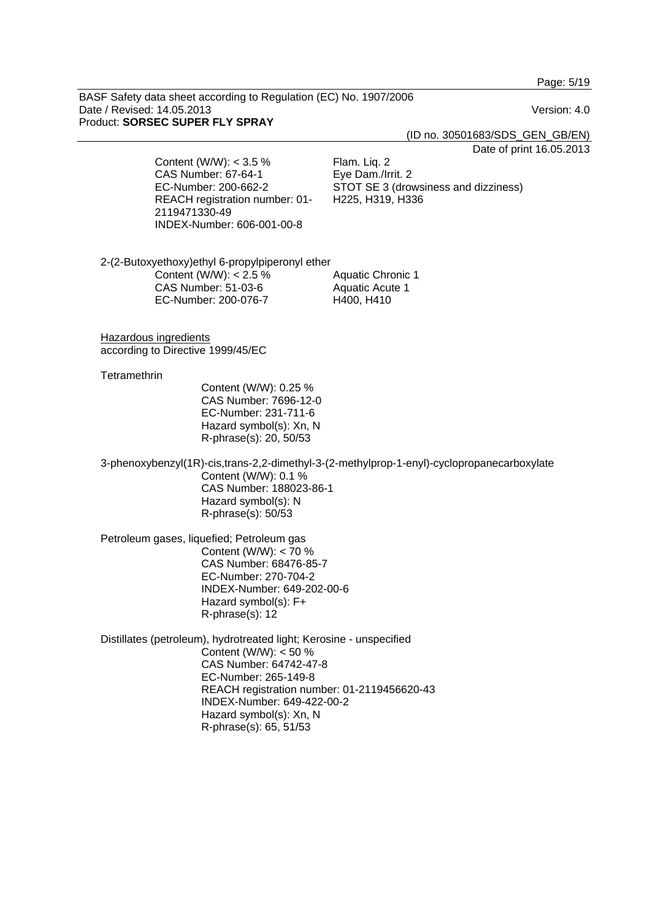Page: 5/19

BASF Safety data sheet according to Regulation (EC) No. 1907/2006 Date / Revised: 14.05.2013 Version: 4.0 Product: **SORSEC SUPER FLY SPRAY** 

(ID no. 30501683/SDS\_GEN\_GB/EN)

Date of print 16.05.2013

Content (W/W): < 3.5 % CAS Number: 67-64-1 EC-Number: 200-662-2 REACH registration number: 01- 2119471330-49 INDEX-Number: 606-001-00-8

Flam. Liq. 2 Eye Dam./Irrit. 2 STOT SE 3 (drowsiness and dizziness) H225, H319, H336

2-(2-Butoxyethoxy)ethyl 6-propylpiperonyl ether Content (W/W): < 2.5 % CAS Number: 51-03-6 EC-Number: 200-076-7 Aquatic Chronic 1 Aquatic Acute 1 H400, H410

Hazardous ingredients according to Directive 1999/45/EC

#### **Tetramethrin**

Content (W/W): 0.25 % CAS Number: 7696-12-0 EC-Number: 231-711-6 Hazard symbol(s): Xn, N R-phrase(s): 20, 50/53

3-phenoxybenzyl(1R)-cis,trans-2,2-dimethyl-3-(2-methylprop-1-enyl)-cyclopropanecarboxylate Content (W/W): 0.1 % CAS Number: 188023-86-1 Hazard symbol(s): N R-phrase(s): 50/53

Petroleum gases, liquefied; Petroleum gas Content (W/W): < 70 % CAS Number: 68476-85-7 EC-Number: 270-704-2 INDEX-Number: 649-202-00-6 Hazard symbol(s): F+ R-phrase(s): 12

Distillates (petroleum), hydrotreated light; Kerosine - unspecified Content (W/W): < 50 % CAS Number: 64742-47-8 EC-Number: 265-149-8 REACH registration number: 01-2119456620-43 INDEX-Number: 649-422-00-2 Hazard symbol(s): Xn, N R-phrase(s): 65, 51/53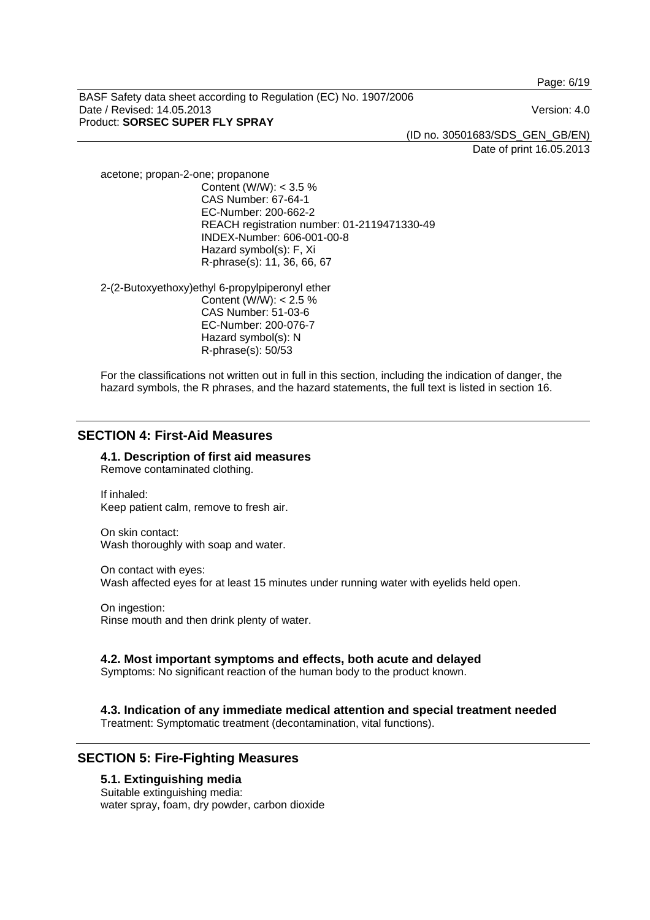Page: 6/19

BASF Safety data sheet according to Regulation (EC) No. 1907/2006 Date / Revised: 14.05.2013 Version: 4.0 Product: **SORSEC SUPER FLY SPRAY** 

(ID no. 30501683/SDS\_GEN\_GB/EN)

Date of print 16.05.2013

acetone; propan-2-one; propanone Content (W/W): < 3.5 % CAS Number: 67-64-1 EC-Number: 200-662-2 REACH registration number: 01-2119471330-49 INDEX-Number: 606-001-00-8 Hazard symbol(s): F, Xi R-phrase(s): 11, 36, 66, 67

2-(2-Butoxyethoxy)ethyl 6-propylpiperonyl ether Content (W/W): < 2.5 % CAS Number: 51-03-6 EC-Number: 200-076-7 Hazard symbol(s): N R-phrase(s): 50/53

For the classifications not written out in full in this section, including the indication of danger, the hazard symbols, the R phrases, and the hazard statements, the full text is listed in section 16.

## **SECTION 4: First-Aid Measures**

**4.1. Description of first aid measures**  Remove contaminated clothing.

If inhaled: Keep patient calm, remove to fresh air.

On skin contact: Wash thoroughly with soap and water.

On contact with eyes: Wash affected eyes for at least 15 minutes under running water with eyelids held open.

On ingestion: Rinse mouth and then drink plenty of water.

## **4.2. Most important symptoms and effects, both acute and delayed**

Symptoms: No significant reaction of the human body to the product known.

## **4.3. Indication of any immediate medical attention and special treatment needed**

Treatment: Symptomatic treatment (decontamination, vital functions).

## **SECTION 5: Fire-Fighting Measures**

#### **5.1. Extinguishing media**

Suitable extinguishing media: water spray, foam, dry powder, carbon dioxide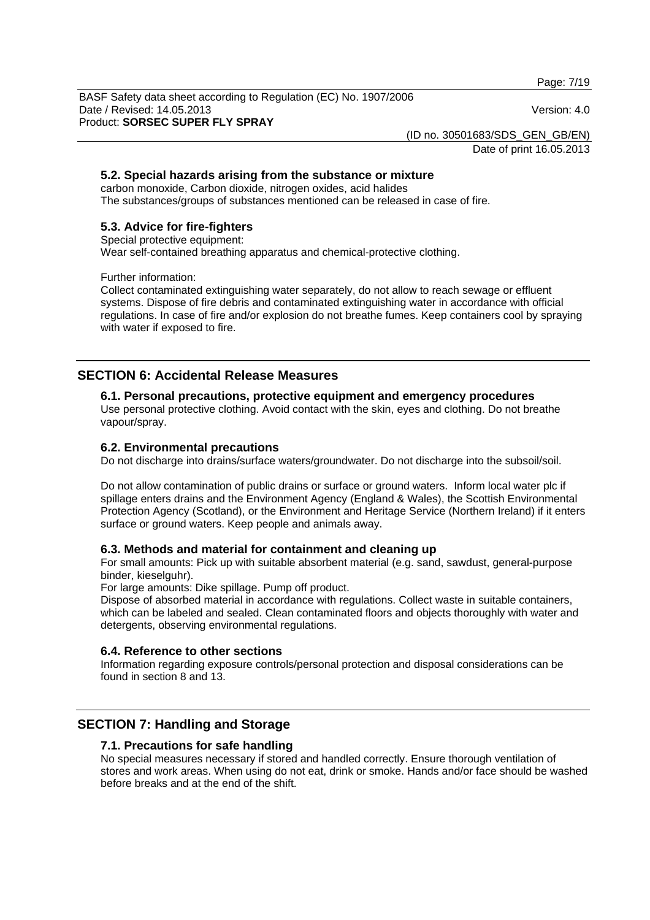Page: 7/19

BASF Safety data sheet according to Regulation (EC) No. 1907/2006 Date / Revised: 14.05.2013 Version: 4.0 Product: **SORSEC SUPER FLY SPRAY** 

(ID no. 30501683/SDS\_GEN\_GB/EN)

Date of print 16.05.2013

## **5.2. Special hazards arising from the substance or mixture**

carbon monoxide, Carbon dioxide, nitrogen oxides, acid halides The substances/groups of substances mentioned can be released in case of fire.

## **5.3. Advice for fire-fighters**

Special protective equipment:

Wear self-contained breathing apparatus and chemical-protective clothing.

Further information:

Collect contaminated extinguishing water separately, do not allow to reach sewage or effluent systems. Dispose of fire debris and contaminated extinguishing water in accordance with official regulations. In case of fire and/or explosion do not breathe fumes. Keep containers cool by spraying with water if exposed to fire.

## **SECTION 6: Accidental Release Measures**

## **6.1. Personal precautions, protective equipment and emergency procedures**

Use personal protective clothing. Avoid contact with the skin, eyes and clothing. Do not breathe vapour/spray.

## **6.2. Environmental precautions**

Do not discharge into drains/surface waters/groundwater. Do not discharge into the subsoil/soil.

Do not allow contamination of public drains or surface or ground waters. Inform local water plc if spillage enters drains and the Environment Agency (England & Wales), the Scottish Environmental Protection Agency (Scotland), or the Environment and Heritage Service (Northern Ireland) if it enters surface or ground waters. Keep people and animals away.

## **6.3. Methods and material for containment and cleaning up**

For small amounts: Pick up with suitable absorbent material (e.g. sand, sawdust, general-purpose binder, kieselguhr).

For large amounts: Dike spillage. Pump off product.

Dispose of absorbed material in accordance with regulations. Collect waste in suitable containers, which can be labeled and sealed. Clean contaminated floors and objects thoroughly with water and detergents, observing environmental regulations.

## **6.4. Reference to other sections**

Information regarding exposure controls/personal protection and disposal considerations can be found in section 8 and 13.

## **SECTION 7: Handling and Storage**

## **7.1. Precautions for safe handling**

No special measures necessary if stored and handled correctly. Ensure thorough ventilation of stores and work areas. When using do not eat, drink or smoke. Hands and/or face should be washed before breaks and at the end of the shift.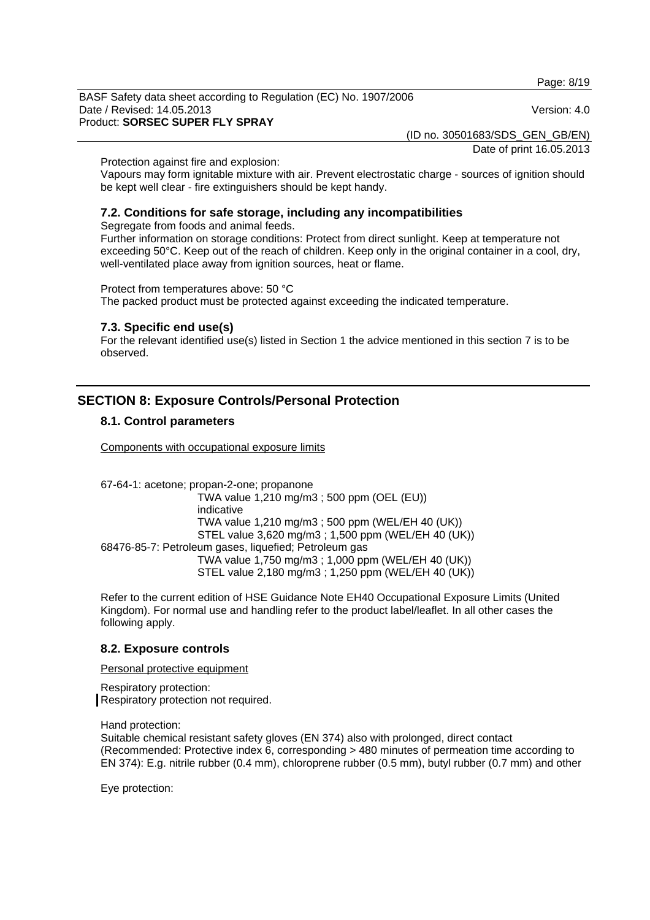Page: 8/19

BASF Safety data sheet according to Regulation (EC) No. 1907/2006 Date / Revised: 14.05.2013 Version: 4.0 Product: **SORSEC SUPER FLY SPRAY** 

(ID no. 30501683/SDS\_GEN\_GB/EN)

Date of print 16.05.2013

Protection against fire and explosion:

Vapours may form ignitable mixture with air. Prevent electrostatic charge - sources of ignition should be kept well clear - fire extinguishers should be kept handy.

## **7.2. Conditions for safe storage, including any incompatibilities**

Segregate from foods and animal feeds.

Further information on storage conditions: Protect from direct sunlight. Keep at temperature not exceeding 50°C. Keep out of the reach of children. Keep only in the original container in a cool, dry, well-ventilated place away from ignition sources, heat or flame.

Protect from temperatures above: 50 °C

The packed product must be protected against exceeding the indicated temperature.

#### **7.3. Specific end use(s)**

For the relevant identified use(s) listed in Section 1 the advice mentioned in this section 7 is to be observed.

## **SECTION 8: Exposure Controls/Personal Protection**

#### **8.1. Control parameters**

Components with occupational exposure limits

67-64-1: acetone; propan-2-one; propanone TWA value 1,210 mg/m3 ; 500 ppm (OEL (EU)) indicative TWA value 1,210 mg/m3 ; 500 ppm (WEL/EH 40 (UK)) STEL value 3,620 mg/m3 ; 1,500 ppm (WEL/EH 40 (UK)) 68476-85-7: Petroleum gases, liquefied; Petroleum gas TWA value 1,750 mg/m3 ; 1,000 ppm (WEL/EH 40 (UK)) STEL value 2,180 mg/m3 ; 1,250 ppm (WEL/EH 40 (UK))

Refer to the current edition of HSE Guidance Note EH40 Occupational Exposure Limits (United Kingdom). For normal use and handling refer to the product label/leaflet. In all other cases the following apply.

## **8.2. Exposure controls**

Personal protective equipment

Respiratory protection: Respiratory protection not required.

Hand protection:

Suitable chemical resistant safety gloves (EN 374) also with prolonged, direct contact (Recommended: Protective index 6, corresponding > 480 minutes of permeation time according to EN 374): E.g. nitrile rubber (0.4 mm), chloroprene rubber (0.5 mm), butyl rubber (0.7 mm) and other

Eye protection: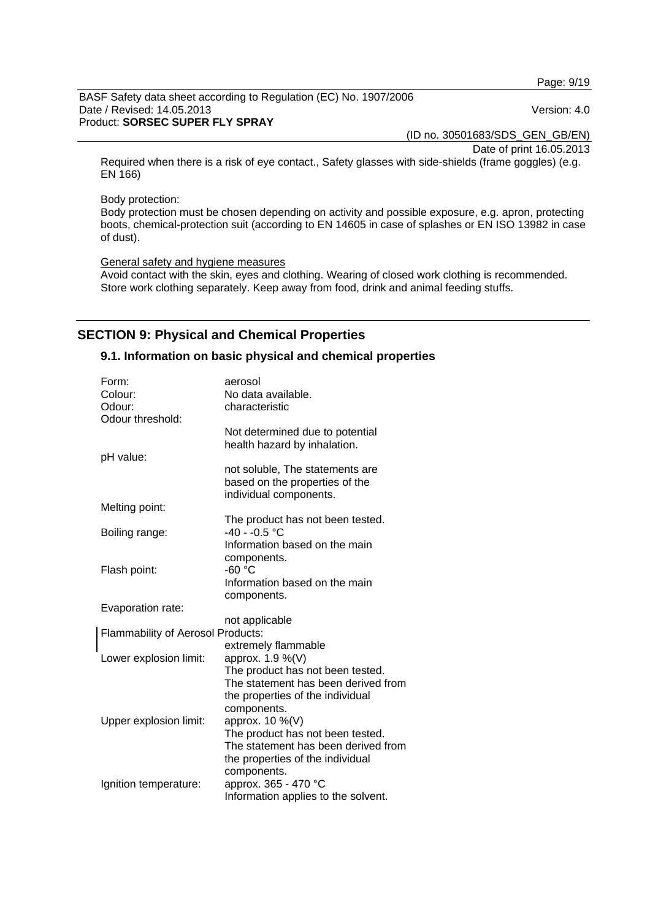Page: 9/19

BASF Safety data sheet according to Regulation (EC) No. 1907/2006 Date / Revised: 14.05.2013 Version: 4.0 Product: **SORSEC SUPER FLY SPRAY** 

(ID no. 30501683/SDS\_GEN\_GB/EN)

Date of print 16.05.2013

Required when there is a risk of eye contact., Safety glasses with side-shields (frame goggles) (e.g. EN 166)

Body protection:

Body protection must be chosen depending on activity and possible exposure, e.g. apron, protecting boots, chemical-protection suit (according to EN 14605 in case of splashes or EN ISO 13982 in case of dust).

General safety and hygiene measures

Avoid contact with the skin, eyes and clothing. Wearing of closed work clothing is recommended. Store work clothing separately. Keep away from food, drink and animal feeding stuffs.

## **SECTION 9: Physical and Chemical Properties**

#### **9.1. Information on basic physical and chemical properties**

| Form:                             | aerosol                             |
|-----------------------------------|-------------------------------------|
| Colour:                           | No data available.                  |
| Odour:                            | characteristic                      |
| Odour threshold:                  |                                     |
|                                   | Not determined due to potential     |
|                                   | health hazard by inhalation.        |
| pH value:                         |                                     |
|                                   | not soluble, The statements are     |
|                                   | based on the properties of the      |
|                                   | individual components.              |
| Melting point:                    |                                     |
|                                   | The product has not been tested.    |
| Boiling range:                    | $-40 - -0.5$ °C                     |
|                                   | Information based on the main       |
|                                   | components.                         |
| Flash point:                      | $-60 °C$                            |
|                                   | Information based on the main       |
|                                   | components.                         |
| Evaporation rate:                 |                                     |
|                                   | not applicable                      |
| Flammability of Aerosol Products: | extremely flammable                 |
| Lower explosion limit:            | approx. 1.9 %(V)                    |
|                                   | The product has not been tested.    |
|                                   | The statement has been derived from |
|                                   | the properties of the individual    |
|                                   | components.                         |
| Upper explosion limit:            | approx. 10 %(V)                     |
|                                   | The product has not been tested.    |
|                                   | The statement has been derived from |
|                                   | the properties of the individual    |
|                                   | components.                         |
| Ignition temperature:             | approx. 365 - 470 °C                |
|                                   | Information applies to the solvent. |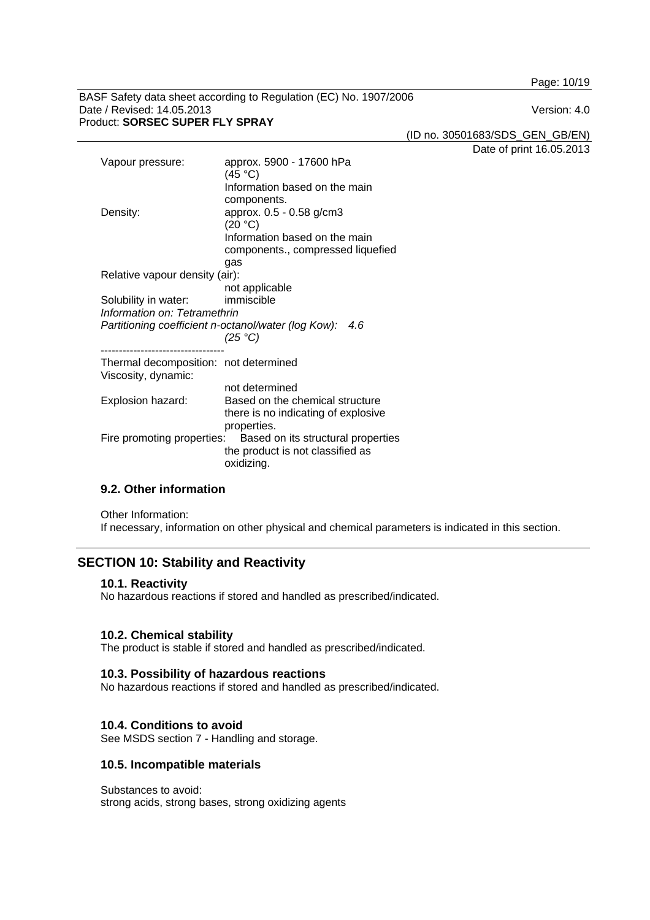Page: 10/19

BASF Safety data sheet according to Regulation (EC) No. 1907/2006 Date / Revised: 14.05.2013 Version: 4.0 Product: **SORSEC SUPER FLY SPRAY** 

(ID no. 30501683/SDS\_GEN\_GB/EN)

Date of print 16.05.2013

| Vapour pressure:                                             | approx. 5900 - 17600 hPa<br>(45 °C)<br>Information based on the main<br>components.                              |
|--------------------------------------------------------------|------------------------------------------------------------------------------------------------------------------|
| Density:                                                     | approx. 0.5 - 0.58 g/cm3<br>(20 °C)<br>Information based on the main<br>components., compressed liquefied<br>gas |
| Relative vapour density (air):                               |                                                                                                                  |
|                                                              | not applicable                                                                                                   |
| Solubility in water:                                         | immiscible                                                                                                       |
| Information on: Tetramethrin                                 |                                                                                                                  |
| Partitioning coefficient n-octanol/water (log Kow):          | 4.6<br>(25 °C)                                                                                                   |
| Thermal decomposition: not determined<br>Viscosity, dynamic: |                                                                                                                  |
|                                                              | not determined                                                                                                   |
| Explosion hazard:                                            | Based on the chemical structure                                                                                  |
|                                                              | there is no indicating of explosive<br>properties.                                                               |
|                                                              | Fire promoting properties: Based on its structural properties<br>the product is not classified as<br>oxidizing.  |

## **9.2. Other information**

Other Information: If necessary, information on other physical and chemical parameters is indicated in this section.

## **SECTION 10: Stability and Reactivity**

#### **10.1. Reactivity**

No hazardous reactions if stored and handled as prescribed/indicated.

## **10.2. Chemical stability**

The product is stable if stored and handled as prescribed/indicated.

#### **10.3. Possibility of hazardous reactions**

No hazardous reactions if stored and handled as prescribed/indicated.

## **10.4. Conditions to avoid**

See MSDS section 7 - Handling and storage.

## **10.5. Incompatible materials**

Substances to avoid: strong acids, strong bases, strong oxidizing agents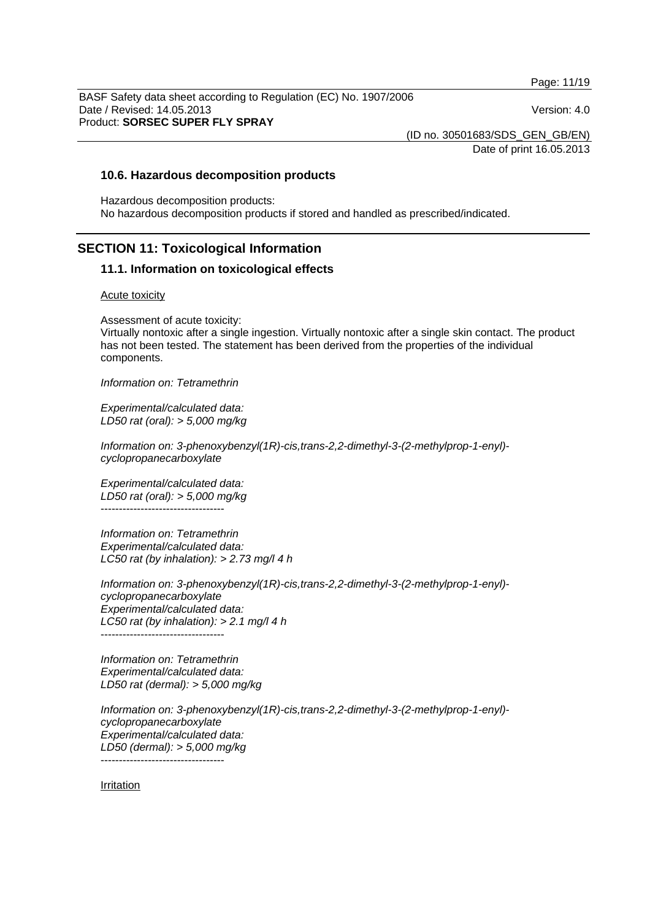Page: 11/19

BASF Safety data sheet according to Regulation (EC) No. 1907/2006 Date / Revised: 14.05.2013 Version: 4.0 Product: **SORSEC SUPER FLY SPRAY** 

(ID no. 30501683/SDS\_GEN\_GB/EN)

Date of print 16.05.2013

#### **10.6. Hazardous decomposition products**

Hazardous decomposition products: No hazardous decomposition products if stored and handled as prescribed/indicated.

## **SECTION 11: Toxicological Information**

#### **11.1. Information on toxicological effects**

#### Acute toxicity

Assessment of acute toxicity:

Virtually nontoxic after a single ingestion. Virtually nontoxic after a single skin contact. The product has not been tested. The statement has been derived from the properties of the individual components.

*Information on: Tetramethrin*

*Experimental/calculated data: LD50 rat (oral): > 5,000 mg/kg* 

*Information on: 3-phenoxybenzyl(1R)-cis,trans-2,2-dimethyl-3-(2-methylprop-1-enyl) cyclopropanecarboxylate*

*Experimental/calculated data: LD50 rat (oral): > 5,000 mg/kg*  ----------------------------------

*Information on: Tetramethrin Experimental/calculated data: LC50 rat (by inhalation): > 2.73 mg/l 4 h* 

*Information on: 3-phenoxybenzyl(1R)-cis,trans-2,2-dimethyl-3-(2-methylprop-1-enyl) cyclopropanecarboxylate Experimental/calculated data: LC50 rat (by inhalation): > 2.1 mg/l 4 h*   $-$ 

*Information on: Tetramethrin Experimental/calculated data: LD50 rat (dermal): > 5,000 mg/kg* 

*Information on: 3-phenoxybenzyl(1R)-cis,trans-2,2-dimethyl-3-(2-methylprop-1-enyl) cyclopropanecarboxylate Experimental/calculated data: LD50 (dermal): > 5,000 mg/kg* 

----------------------------------

Irritation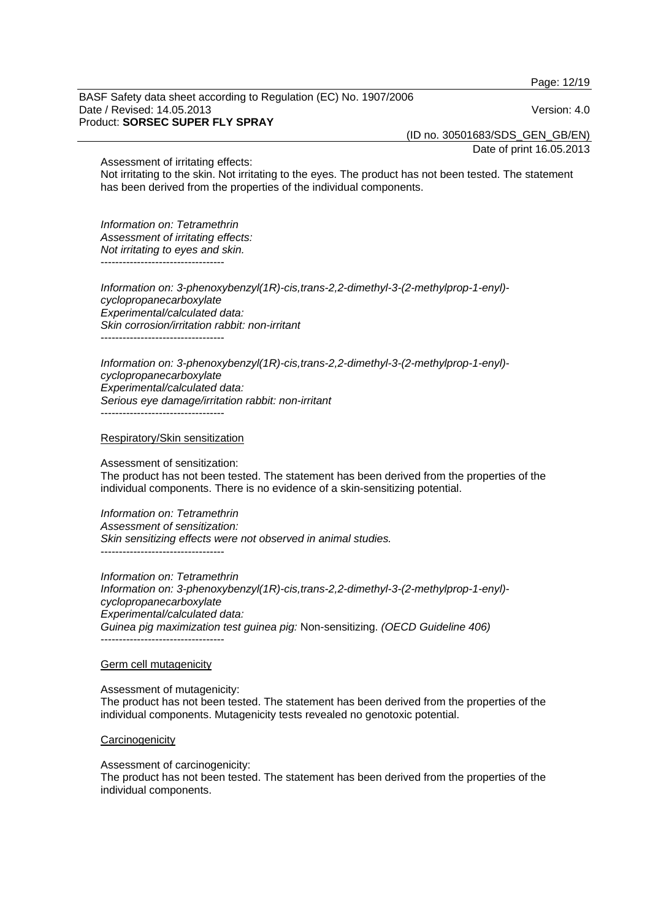Page: 12/19

BASF Safety data sheet according to Regulation (EC) No. 1907/2006 Date / Revised: 14.05.2013 Version: 4.0 Product: **SORSEC SUPER FLY SPRAY** 

(ID no. 30501683/SDS\_GEN\_GB/EN)

Date of print 16.05.2013

Assessment of irritating effects:

Not irritating to the skin. Not irritating to the eyes. The product has not been tested. The statement has been derived from the properties of the individual components.

*Information on: Tetramethrin Assessment of irritating effects: Not irritating to eyes and skin.*  ----------------------------------

*Information on: 3-phenoxybenzyl(1R)-cis,trans-2,2-dimethyl-3-(2-methylprop-1-enyl) cyclopropanecarboxylate Experimental/calculated data: Skin corrosion/irritation rabbit: non-irritant*  ----------------------------------

*Information on: 3-phenoxybenzyl(1R)-cis,trans-2,2-dimethyl-3-(2-methylprop-1-enyl) cyclopropanecarboxylate Experimental/calculated data: Serious eye damage/irritation rabbit: non-irritant*  ----------------------------------

Respiratory/Skin sensitization

Assessment of sensitization:

The product has not been tested. The statement has been derived from the properties of the individual components. There is no evidence of a skin-sensitizing potential.

*Information on: Tetramethrin Assessment of sensitization: Skin sensitizing effects were not observed in animal studies.* 

----------------------------------

*Information on: Tetramethrin Information on: 3-phenoxybenzyl(1R)-cis,trans-2,2-dimethyl-3-(2-methylprop-1-enyl) cyclopropanecarboxylate Experimental/calculated data: Guinea pig maximization test guinea pig:* Non-sensitizing. *(OECD Guideline 406)* ----------------------------------

#### Germ cell mutagenicity

individual components.

Assessment of mutagenicity: The product has not been tested. The statement has been derived from the properties of the individual components. Mutagenicity tests revealed no genotoxic potential.

#### **Carcinogenicity**

Assessment of carcinogenicity: The product has not been tested. The statement has been derived from the properties of the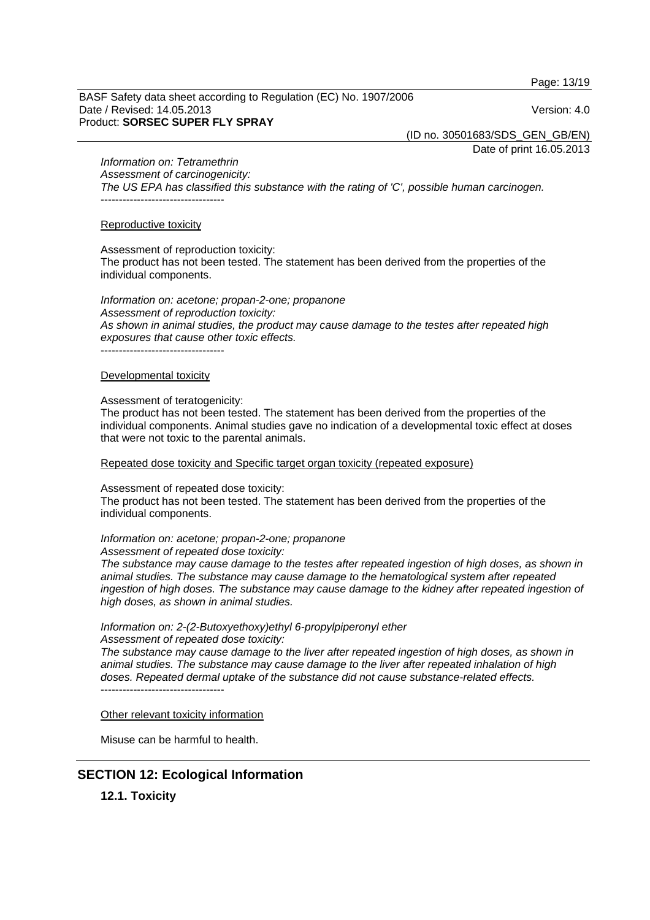Page: 13/19

BASF Safety data sheet according to Regulation (EC) No. 1907/2006 Date / Revised: 14.05.2013 Version: 4.0 Product: **SORSEC SUPER FLY SPRAY** 

(ID no. 30501683/SDS\_GEN\_GB/EN)

Date of print 16.05.2013

*Information on: Tetramethrin*

*Assessment of carcinogenicity: The US EPA has classified this substance with the rating of 'C', possible human carcinogen.*  ----------------------------------

#### Reproductive toxicity

Assessment of reproduction toxicity:

The product has not been tested. The statement has been derived from the properties of the individual components.

*Information on: acetone; propan-2-one; propanone Assessment of reproduction toxicity: As shown in animal studies, the product may cause damage to the testes after repeated high exposures that cause other toxic effects.*  ----------------------------------

#### Developmental toxicity

#### Assessment of teratogenicity:

The product has not been tested. The statement has been derived from the properties of the individual components. Animal studies gave no indication of a developmental toxic effect at doses that were not toxic to the parental animals.

Repeated dose toxicity and Specific target organ toxicity (repeated exposure)

Assessment of repeated dose toxicity:

The product has not been tested. The statement has been derived from the properties of the individual components.

*Information on: acetone; propan-2-one; propanone* 

*Assessment of repeated dose toxicity:* 

*The substance may cause damage to the testes after repeated ingestion of high doses, as shown in animal studies. The substance may cause damage to the hematological system after repeated*  ingestion of high doses. The substance may cause damage to the kidney after repeated ingestion of *high doses, as shown in animal studies.* 

*Information on: 2-(2-Butoxyethoxy)ethyl 6-propylpiperonyl ether* 

*Assessment of repeated dose toxicity:* 

*The substance may cause damage to the liver after repeated ingestion of high doses, as shown in animal studies. The substance may cause damage to the liver after repeated inhalation of high doses. Repeated dermal uptake of the substance did not cause substance-related effects.*  ----------------------------------

#### Other relevant toxicity information

Misuse can be harmful to health.

## **SECTION 12: Ecological Information**

**12.1. Toxicity**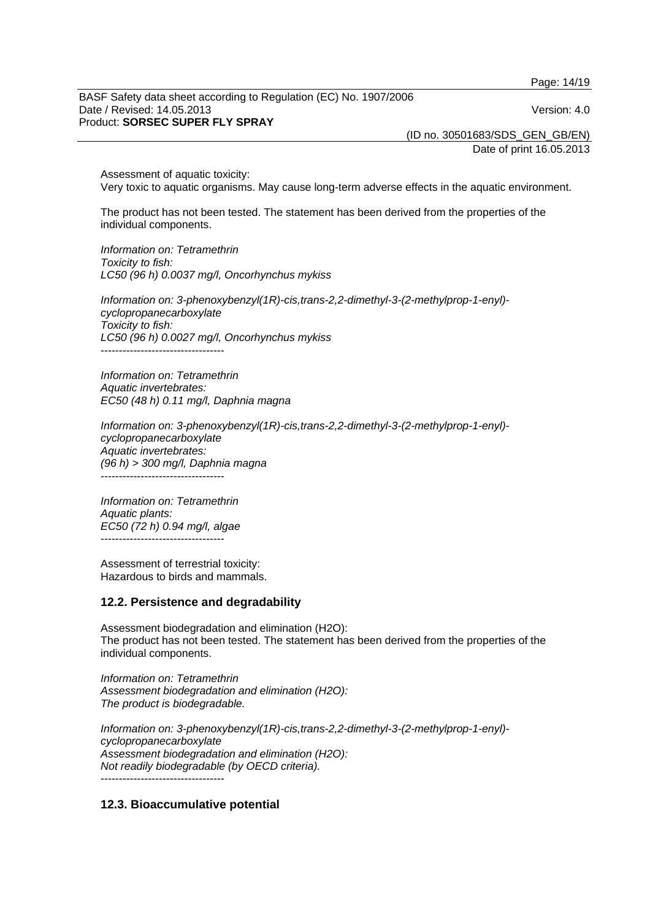Page: 14/19

BASF Safety data sheet according to Regulation (EC) No. 1907/2006 Date / Revised: 14.05.2013 Version: 4.0 Product: **SORSEC SUPER FLY SPRAY** 

(ID no. 30501683/SDS\_GEN\_GB/EN)

Date of print 16.05.2013

Assessment of aquatic toxicity: Very toxic to aquatic organisms. May cause long-term adverse effects in the aquatic environment.

The product has not been tested. The statement has been derived from the properties of the individual components.

*Information on: Tetramethrin Toxicity to fish: LC50 (96 h) 0.0037 mg/l, Oncorhynchus mykiss* 

*Information on: 3-phenoxybenzyl(1R)-cis,trans-2,2-dimethyl-3-(2-methylprop-1-enyl) cyclopropanecarboxylate Toxicity to fish: LC50 (96 h) 0.0027 mg/l, Oncorhynchus mykiss*  ----------------------------------

*Information on: Tetramethrin Aquatic invertebrates: EC50 (48 h) 0.11 mg/l, Daphnia magna* 

*Information on: 3-phenoxybenzyl(1R)-cis,trans-2,2-dimethyl-3-(2-methylprop-1-enyl) cyclopropanecarboxylate Aquatic invertebrates: (96 h) > 300 mg/l, Daphnia magna*  ----------------------------------

*Information on: Tetramethrin Aquatic plants: EC50 (72 h) 0.94 mg/l, algae*  ----------------------------------

Assessment of terrestrial toxicity: Hazardous to birds and mammals.

#### **12.2. Persistence and degradability**

Assessment biodegradation and elimination (H2O): The product has not been tested. The statement has been derived from the properties of the individual components.

*Information on: Tetramethrin Assessment biodegradation and elimination (H2O): The product is biodegradable.* 

*Information on: 3-phenoxybenzyl(1R)-cis,trans-2,2-dimethyl-3-(2-methylprop-1-enyl) cyclopropanecarboxylate Assessment biodegradation and elimination (H2O): Not readily biodegradable (by OECD criteria).*  ----------------------------------

## **12.3. Bioaccumulative potential**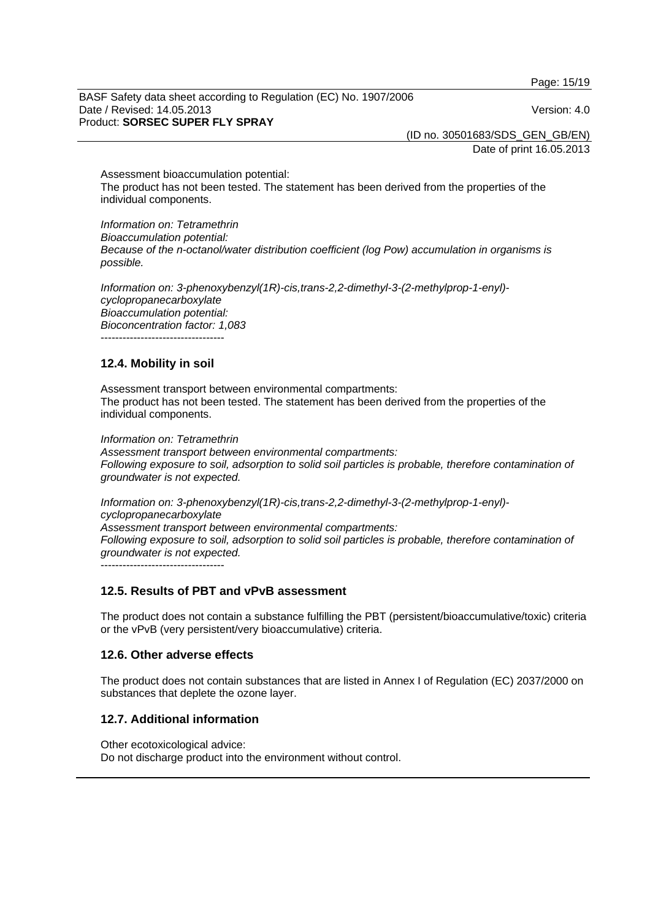Page: 15/19

BASF Safety data sheet according to Regulation (EC) No. 1907/2006 Date / Revised: 14.05.2013 Version: 4.0 Product: **SORSEC SUPER FLY SPRAY** 

(ID no. 30501683/SDS\_GEN\_GB/EN)

Date of print 16.05.2013

Assessment bioaccumulation potential: The product has not been tested. The statement has been derived from the properties of the individual components.

*Information on: Tetramethrin Bioaccumulation potential: Because of the n-octanol/water distribution coefficient (log Pow) accumulation in organisms is possible.* 

*Information on: 3-phenoxybenzyl(1R)-cis,trans-2,2-dimethyl-3-(2-methylprop-1-enyl) cyclopropanecarboxylate Bioaccumulation potential: Bioconcentration factor: 1,083* 

----------------------------------

## **12.4. Mobility in soil**

Assessment transport between environmental compartments: The product has not been tested. The statement has been derived from the properties of the individual components.

*Information on: Tetramethrin Assessment transport between environmental compartments: Following exposure to soil, adsorption to solid soil particles is probable, therefore contamination of groundwater is not expected.*

*Information on: 3-phenoxybenzyl(1R)-cis,trans-2,2-dimethyl-3-(2-methylprop-1-enyl) cyclopropanecarboxylate Assessment transport between environmental compartments: Following exposure to soil, adsorption to solid soil particles is probable, therefore contamination of groundwater is not expected.* ----------------------------------

## **12.5. Results of PBT and vPvB assessment**

The product does not contain a substance fulfilling the PBT (persistent/bioaccumulative/toxic) criteria or the vPvB (very persistent/very bioaccumulative) criteria.

## **12.6. Other adverse effects**

The product does not contain substances that are listed in Annex I of Regulation (EC) 2037/2000 on substances that deplete the ozone layer.

## **12.7. Additional information**

Other ecotoxicological advice: Do not discharge product into the environment without control.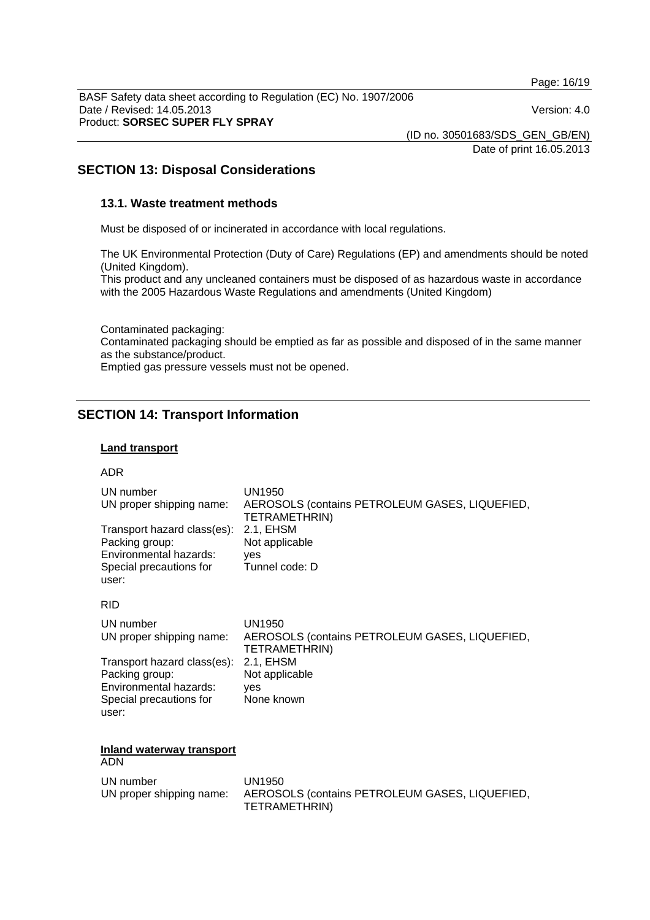Page: 16/19

BASF Safety data sheet according to Regulation (EC) No. 1907/2006 Date / Revised: 14.05.2013 Version: 4.0 Product: **SORSEC SUPER FLY SPRAY** 

(ID no. 30501683/SDS\_GEN\_GB/EN)

Date of print 16.05.2013

## **SECTION 13: Disposal Considerations**

### **13.1. Waste treatment methods**

Must be disposed of or incinerated in accordance with local regulations.

The UK Environmental Protection (Duty of Care) Regulations (EP) and amendments should be noted (United Kingdom).

This product and any uncleaned containers must be disposed of as hazardous waste in accordance with the 2005 Hazardous Waste Regulations and amendments (United Kingdom)

Contaminated packaging: Contaminated packaging should be emptied as far as possible and disposed of in the same manner as the substance/product. Emptied gas pressure vessels must not be opened.

## **SECTION 14: Transport Information**

### **Land transport**

#### ADR

| UN number                               | UN1950                                         |
|-----------------------------------------|------------------------------------------------|
| UN proper shipping name:                | AEROSOLS (contains PETROLEUM GASES, LIQUEFIED, |
| Transport hazard class(es):             | TETRAMETHRIN)                                  |
| Packing group:                          | 2.1, EHSM                                      |
| Environmental hazards:                  | Not applicable                                 |
| Special precautions for                 | yes                                            |
| user:                                   | Tunnel code: D                                 |
| <b>RID</b>                              |                                                |
| UN number                               | UN1950                                         |
| UN proper shipping name:                | AEROSOLS (contains PETROLEUM GASES, LIQUEFIED, |
| Transport hazard class(es):             | TETRAMETHRIN)                                  |
| Packing group:                          | 2.1, EHSM                                      |
| Environmental hazards:                  | Not applicable                                 |
| Special precautions for                 | yes                                            |
| user:                                   | None known                                     |
| <b>Inland waterway transport</b><br>ADN |                                                |

| UN number | UN1950<br>UN proper shipping name: AEROSOLS (contains PETROLEUM GASES, LIQUEFIED, |
|-----------|-----------------------------------------------------------------------------------|
|           | TETRAMETHRIN)                                                                     |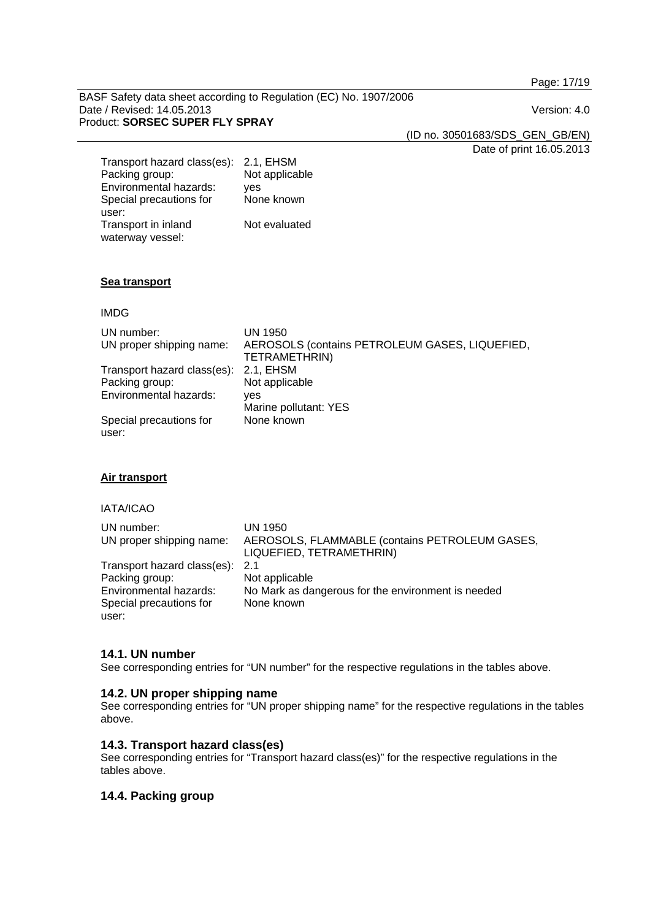Page: 17/19

BASF Safety data sheet according to Regulation (EC) No. 1907/2006 Date / Revised: 14.05.2013 Version: 4.0 Product: **SORSEC SUPER FLY SPRAY** 

(ID no. 30501683/SDS\_GEN\_GB/EN)

Date of print 16.05.2013

| Transport hazard class(es): | 2.1, EHSM      |
|-----------------------------|----------------|
| Packing group:              | Not applicable |
| Environmental hazards:      | ves            |
| Special precautions for     | None known     |
| user:                       |                |
| Transport in inland         | Not evaluated  |
| waterway vessel:            |                |

#### **Sea transport**

#### IMDG

| UN number:<br>UN proper shipping name: | UN 1950<br>AEROSOLS (contains PETROLEUM GASES, LIQUEFIED,<br>TETRAMETHRIN) |
|----------------------------------------|----------------------------------------------------------------------------|
| Transport hazard class(es):            | 2.1. EHSM                                                                  |
| Packing group:                         | Not applicable                                                             |
| Environmental hazards:                 | ves                                                                        |
|                                        | Marine pollutant: YES                                                      |
| Special precautions for<br>user:       | None known                                                                 |

## **Air transport**

## IATA/ICAO

| UN number:<br>UN proper shipping name: | UN 1950<br>AEROSOLS, FLAMMABLE (contains PETROLEUM GASES, |
|----------------------------------------|-----------------------------------------------------------|
|                                        | LIQUEFIED, TETRAMETHRIN)                                  |
| Transport hazard class(es): 2.1        |                                                           |
| Packing group:                         | Not applicable                                            |
| Environmental hazards:                 | No Mark as dangerous for the environment is needed        |
| Special precautions for                | None known                                                |
| user:                                  |                                                           |

#### **14.1. UN number**

See corresponding entries for "UN number" for the respective regulations in the tables above.

## **14.2. UN proper shipping name**

See corresponding entries for "UN proper shipping name" for the respective regulations in the tables above.

## **14.3. Transport hazard class(es)**

See corresponding entries for "Transport hazard class(es)" for the respective regulations in the tables above.

## **14.4. Packing group**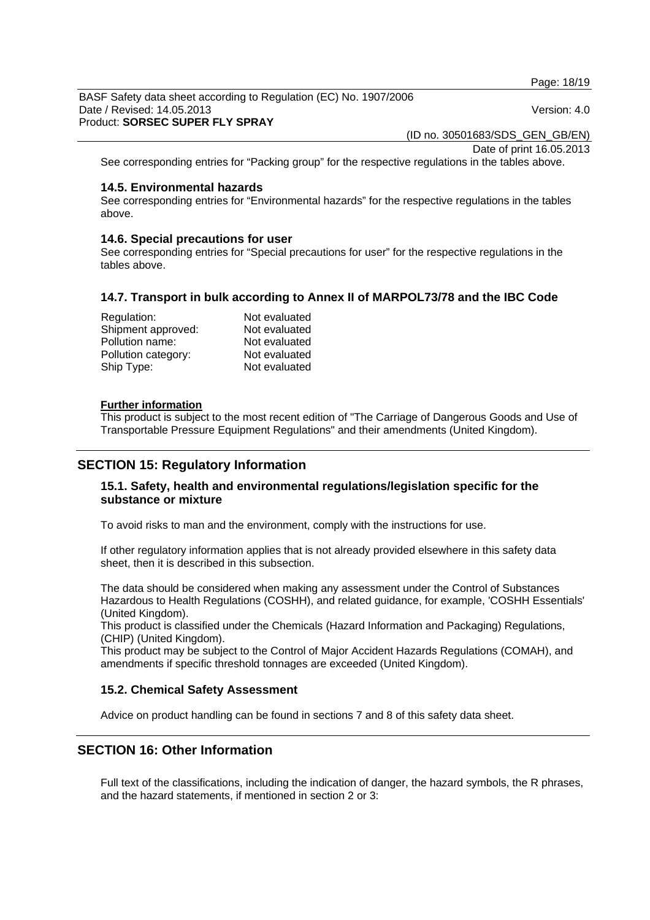Page: 18/19

BASF Safety data sheet according to Regulation (EC) No. 1907/2006 Date / Revised: 14.05.2013 Version: 4.0 Product: **SORSEC SUPER FLY SPRAY** 

(ID no. 30501683/SDS\_GEN\_GB/EN)

Date of print 16.05.2013

See corresponding entries for "Packing group" for the respective regulations in the tables above.

#### **14.5. Environmental hazards**

See corresponding entries for "Environmental hazards" for the respective regulations in the tables above.

#### **14.6. Special precautions for user**

See corresponding entries for "Special precautions for user" for the respective regulations in the tables above.

## **14.7. Transport in bulk according to Annex II of MARPOL73/78 and the IBC Code**

| Regulation:         | Not evaluated |
|---------------------|---------------|
| Shipment approved:  | Not evaluated |
| Pollution name:     | Not evaluated |
| Pollution category: | Not evaluated |
| Ship Type:          | Not evaluated |

#### **Further information**

This product is subject to the most recent edition of "The Carriage of Dangerous Goods and Use of Transportable Pressure Equipment Regulations" and their amendments (United Kingdom).

## **SECTION 15: Regulatory Information**

## **15.1. Safety, health and environmental regulations/legislation specific for the substance or mixture**

To avoid risks to man and the environment, comply with the instructions for use.

If other regulatory information applies that is not already provided elsewhere in this safety data sheet, then it is described in this subsection.

The data should be considered when making any assessment under the Control of Substances Hazardous to Health Regulations (COSHH), and related guidance, for example, 'COSHH Essentials' (United Kingdom).

This product is classified under the Chemicals (Hazard Information and Packaging) Regulations, (CHIP) (United Kingdom).

This product may be subject to the Control of Major Accident Hazards Regulations (COMAH), and amendments if specific threshold tonnages are exceeded (United Kingdom).

#### **15.2. Chemical Safety Assessment**

Advice on product handling can be found in sections 7 and 8 of this safety data sheet.

## **SECTION 16: Other Information**

Full text of the classifications, including the indication of danger, the hazard symbols, the R phrases, and the hazard statements, if mentioned in section 2 or 3: